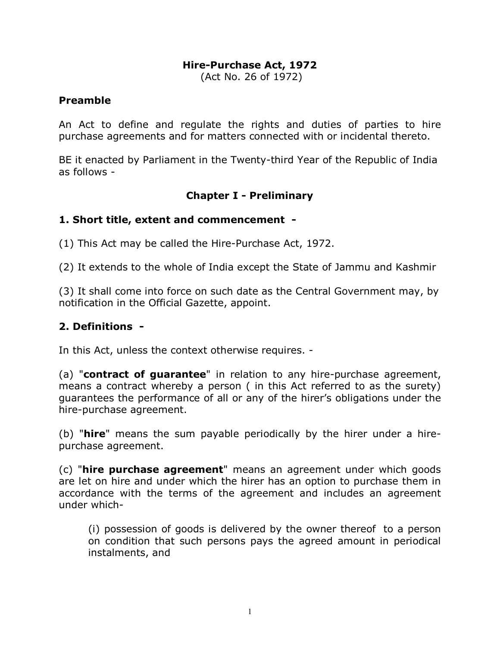### Hire-Purchase Act, 1972

(Act No. 26 of 1972)

#### Preamble

An Act to define and regulate the rights and duties of parties to hire purchase agreements and for matters connected with or incidental thereto.

BE it enacted by Parliament in the Twenty-third Year of the Republic of India as follows -

### Chapter I - Preliminary

#### 1. Short title, extent and commencement -

(1) This Act may be called the Hire-Purchase Act, 1972.

(2) It extends to the whole of India except the State of Jammu and Kashmir

(3) It shall come into force on such date as the Central Government may, by notification in the Official Gazette, appoint.

# 2. Definitions -

In this Act, unless the context otherwise requires. -

(a) "contract of guarantee" in relation to any hire-purchase agreement, means a contract whereby a person ( in this Act referred to as the surety) guarantees the performance of all or any of the hirer's obligations under the hire-purchase agreement.

(b) "hire" means the sum payable periodically by the hirer under a hirepurchase agreement.

(c) "hire purchase agreement" means an agreement under which goods are let on hire and under which the hirer has an option to purchase them in accordance with the terms of the agreement and includes an agreement under which-

(i) possession of goods is delivered by the owner thereof to a person on condition that such persons pays the agreed amount in periodical instalments, and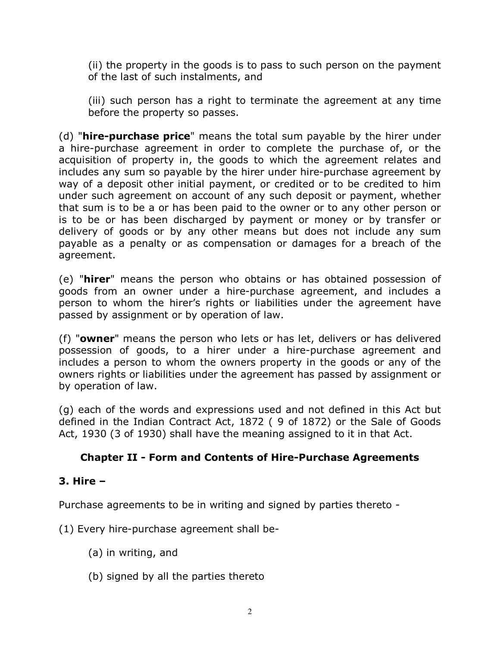(ii) the property in the goods is to pass to such person on the payment of the last of such instalments, and

(iii) such person has a right to terminate the agreement at any time before the property so passes.

(d) "**hire-purchase price**" means the total sum payable by the hirer under a hire-purchase agreement in order to complete the purchase of, or the acquisition of property in, the goods to which the agreement relates and includes any sum so payable by the hirer under hire-purchase agreement by way of a deposit other initial payment, or credited or to be credited to him under such agreement on account of any such deposit or payment, whether that sum is to be a or has been paid to the owner or to any other person or is to be or has been discharged by payment or money or by transfer or delivery of goods or by any other means but does not include any sum payable as a penalty or as compensation or damages for a breach of the agreement.

(e) "hirer" means the person who obtains or has obtained possession of goods from an owner under a hire-purchase agreement, and includes a person to whom the hirer's rights or liabilities under the agreement have passed by assignment or by operation of law.

(f) "owner" means the person who lets or has let, delivers or has delivered possession of goods, to a hirer under a hire-purchase agreement and includes a person to whom the owners property in the goods or any of the owners rights or liabilities under the agreement has passed by assignment or by operation of law.

(g) each of the words and expressions used and not defined in this Act but defined in the Indian Contract Act, 1872 ( 9 of 1872) or the Sale of Goods Act, 1930 (3 of 1930) shall have the meaning assigned to it in that Act.

# Chapter II - Form and Contents of Hire-Purchase Agreements

# 3. Hire –

Purchase agreements to be in writing and signed by parties thereto -

(1) Every hire-purchase agreement shall be-

- (a) in writing, and
- (b) signed by all the parties thereto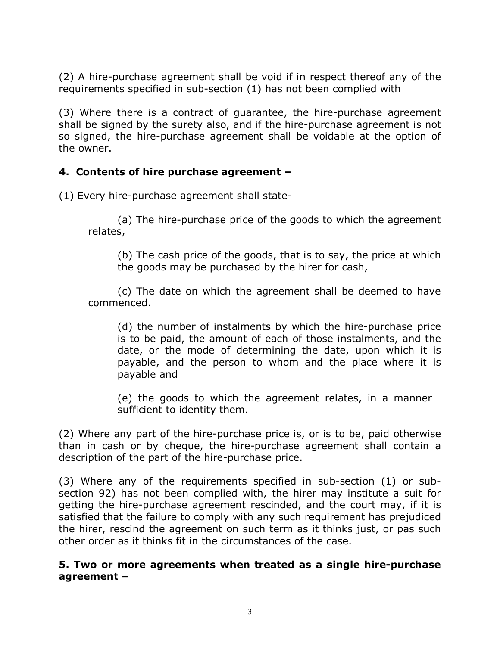(2) A hire-purchase agreement shall be void if in respect thereof any of the requirements specified in sub-section (1) has not been complied with

(3) Where there is a contract of guarantee, the hire-purchase agreement shall be signed by the surety also, and if the hire-purchase agreement is not so signed, the hire-purchase agreement shall be voidable at the option of the owner.

### 4. Contents of hire purchase agreement –

(1) Every hire-purchase agreement shall state-

(a) The hire-purchase price of the goods to which the agreement relates,

(b) The cash price of the goods, that is to say, the price at which the goods may be purchased by the hirer for cash,

(c) The date on which the agreement shall be deemed to have commenced.

(d) the number of instalments by which the hire-purchase price is to be paid, the amount of each of those instalments, and the date, or the mode of determining the date, upon which it is payable, and the person to whom and the place where it is payable and

(e) the goods to which the agreement relates, in a manner sufficient to identity them.

(2) Where any part of the hire-purchase price is, or is to be, paid otherwise than in cash or by cheque, the hire-purchase agreement shall contain a description of the part of the hire-purchase price.

(3) Where any of the requirements specified in sub-section (1) or subsection 92) has not been complied with, the hirer may institute a suit for getting the hire-purchase agreement rescinded, and the court may, if it is satisfied that the failure to comply with any such requirement has prejudiced the hirer, rescind the agreement on such term as it thinks just, or pas such other order as it thinks fit in the circumstances of the case.

#### 5. Two or more agreements when treated as a single hire-purchase agreement –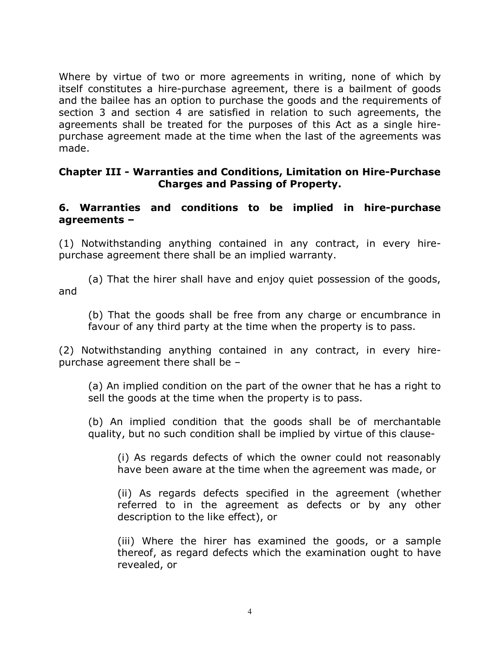Where by virtue of two or more agreements in writing, none of which by itself constitutes a hire-purchase agreement, there is a bailment of goods and the bailee has an option to purchase the goods and the requirements of section 3 and section 4 are satisfied in relation to such agreements, the agreements shall be treated for the purposes of this Act as a single hirepurchase agreement made at the time when the last of the agreements was made.

#### Chapter III - Warranties and Conditions, Limitation on Hire-Purchase Charges and Passing of Property.

### 6. Warranties and conditions to be implied in hire-purchase agreements –

(1) Notwithstanding anything contained in any contract, in every hirepurchase agreement there shall be an implied warranty.

(a) That the hirer shall have and enjoy quiet possession of the goods, and

(b) That the goods shall be free from any charge or encumbrance in favour of any third party at the time when the property is to pass.

(2) Notwithstanding anything contained in any contract, in every hirepurchase agreement there shall be –

(a) An implied condition on the part of the owner that he has a right to sell the goods at the time when the property is to pass.

(b) An implied condition that the goods shall be of merchantable quality, but no such condition shall be implied by virtue of this clause-

(i) As regards defects of which the owner could not reasonably have been aware at the time when the agreement was made, or

(ii) As regards defects specified in the agreement (whether referred to in the agreement as defects or by any other description to the like effect), or

(iii) Where the hirer has examined the goods, or a sample thereof, as regard defects which the examination ought to have revealed, or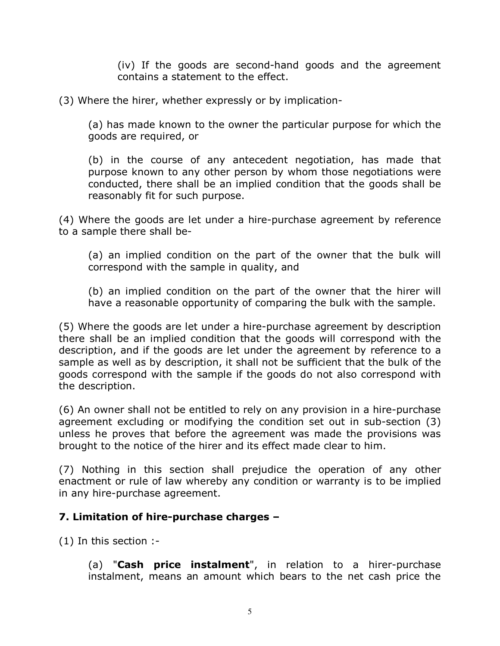(iv) If the goods are second-hand goods and the agreement contains a statement to the effect.

(3) Where the hirer, whether expressly or by implication-

(a) has made known to the owner the particular purpose for which the goods are required, or

(b) in the course of any antecedent negotiation, has made that purpose known to any other person by whom those negotiations were conducted, there shall be an implied condition that the goods shall be reasonably fit for such purpose.

(4) Where the goods are let under a hire-purchase agreement by reference to a sample there shall be-

(a) an implied condition on the part of the owner that the bulk will correspond with the sample in quality, and

(b) an implied condition on the part of the owner that the hirer will have a reasonable opportunity of comparing the bulk with the sample.

(5) Where the goods are let under a hire-purchase agreement by description there shall be an implied condition that the goods will correspond with the description, and if the goods are let under the agreement by reference to a sample as well as by description, it shall not be sufficient that the bulk of the goods correspond with the sample if the goods do not also correspond with the description.

(6) An owner shall not be entitled to rely on any provision in a hire-purchase agreement excluding or modifying the condition set out in sub-section (3) unless he proves that before the agreement was made the provisions was brought to the notice of the hirer and its effect made clear to him.

(7) Nothing in this section shall prejudice the operation of any other enactment or rule of law whereby any condition or warranty is to be implied in any hire-purchase agreement.

# 7. Limitation of hire-purchase charges –

(1) In this section :-

(a) "Cash price instalment", in relation to a hirer-purchase instalment, means an amount which bears to the net cash price the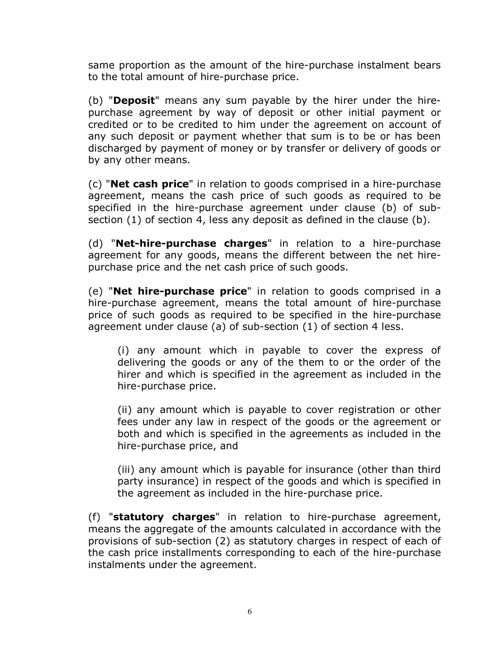same proportion as the amount of the hire-purchase instalment bears to the total amount of hire-purchase price.

(b) "**Deposit**" means any sum payable by the hirer under the hirepurchase agreement by way of deposit or other initial payment or credited or to be credited to him under the agreement on account of any such deposit or payment whether that sum is to be or has been discharged by payment of money or by transfer or delivery of goods or by any other means.

(c) "Net cash price" in relation to goods comprised in a hire-purchase agreement, means the cash price of such goods as required to be specified in the hire-purchase agreement under clause (b) of subsection (1) of section 4, less any deposit as defined in the clause (b).

(d) "Net-hire-purchase charges" in relation to a hire-purchase agreement for any goods, means the different between the net hirepurchase price and the net cash price of such goods.

(e) "**Net hire-purchase price**" in relation to goods comprised in a hire-purchase agreement, means the total amount of hire-purchase price of such goods as required to be specified in the hire-purchase agreement under clause (a) of sub-section (1) of section 4 less.

(i) any amount which in payable to cover the express of delivering the goods or any of the them to or the order of the hirer and which is specified in the agreement as included in the hire-purchase price.

(ii) any amount which is payable to cover registration or other fees under any law in respect of the goods or the agreement or both and which is specified in the agreements as included in the hire-purchase price, and

(iii) any amount which is payable for insurance (other than third party insurance) in respect of the goods and which is specified in the agreement as included in the hire-purchase price.

(f) "statutory charges" in relation to hire-purchase agreement, means the aggregate of the amounts calculated in accordance with the provisions of sub-section (2) as statutory charges in respect of each of the cash price installments corresponding to each of the hire-purchase instalments under the agreement.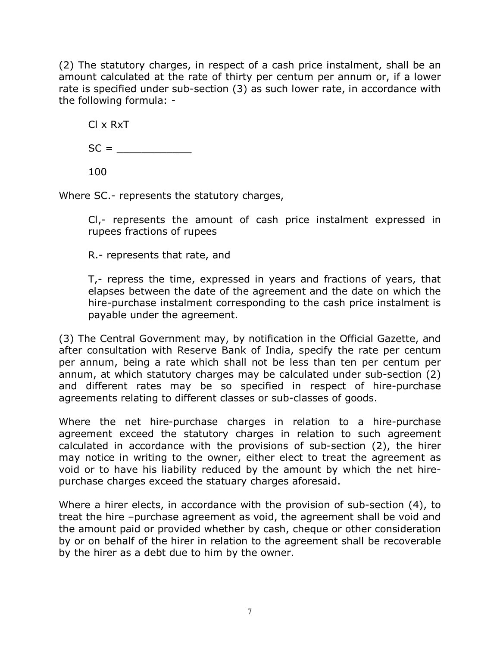(2) The statutory charges, in respect of a cash price instalment, shall be an amount calculated at the rate of thirty per centum per annum or, if a lower rate is specified under sub-section (3) as such lower rate, in accordance with the following formula: -

Cl x RxT

SC = \_\_\_\_\_\_\_\_\_\_\_\_

100

Where SC.- represents the statutory charges,

Cl,- represents the amount of cash price instalment expressed in rupees fractions of rupees

R.- represents that rate, and

T,- repress the time, expressed in years and fractions of years, that elapses between the date of the agreement and the date on which the hire-purchase instalment corresponding to the cash price instalment is payable under the agreement.

(3) The Central Government may, by notification in the Official Gazette, and after consultation with Reserve Bank of India, specify the rate per centum per annum, being a rate which shall not be less than ten per centum per annum, at which statutory charges may be calculated under sub-section (2) and different rates may be so specified in respect of hire-purchase agreements relating to different classes or sub-classes of goods.

Where the net hire-purchase charges in relation to a hire-purchase agreement exceed the statutory charges in relation to such agreement calculated in accordance with the provisions of sub-section (2), the hirer may notice in writing to the owner, either elect to treat the agreement as void or to have his liability reduced by the amount by which the net hirepurchase charges exceed the statuary charges aforesaid.

Where a hirer elects, in accordance with the provision of sub-section (4), to treat the hire –purchase agreement as void, the agreement shall be void and the amount paid or provided whether by cash, cheque or other consideration by or on behalf of the hirer in relation to the agreement shall be recoverable by the hirer as a debt due to him by the owner.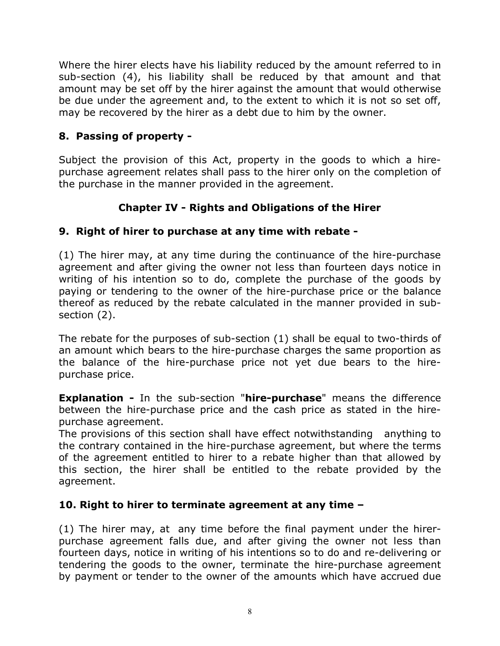Where the hirer elects have his liability reduced by the amount referred to in sub-section (4), his liability shall be reduced by that amount and that amount may be set off by the hirer against the amount that would otherwise be due under the agreement and, to the extent to which it is not so set off, may be recovered by the hirer as a debt due to him by the owner.

# 8. Passing of property -

Subject the provision of this Act, property in the goods to which a hirepurchase agreement relates shall pass to the hirer only on the completion of the purchase in the manner provided in the agreement.

# Chapter IV - Rights and Obligations of the Hirer

# 9. Right of hirer to purchase at any time with rebate -

(1) The hirer may, at any time during the continuance of the hire-purchase agreement and after giving the owner not less than fourteen days notice in writing of his intention so to do, complete the purchase of the goods by paying or tendering to the owner of the hire-purchase price or the balance thereof as reduced by the rebate calculated in the manner provided in subsection (2).

The rebate for the purposes of sub-section (1) shall be equal to two-thirds of an amount which bears to the hire-purchase charges the same proportion as the balance of the hire-purchase price not yet due bears to the hirepurchase price.

**Explanation -** In the sub-section "hire-purchase" means the difference between the hire-purchase price and the cash price as stated in the hirepurchase agreement.

The provisions of this section shall have effect notwithstanding anything to the contrary contained in the hire-purchase agreement, but where the terms of the agreement entitled to hirer to a rebate higher than that allowed by this section, the hirer shall be entitled to the rebate provided by the agreement.

# 10. Right to hirer to terminate agreement at any time –

(1) The hirer may, at any time before the final payment under the hirerpurchase agreement falls due, and after giving the owner not less than fourteen days, notice in writing of his intentions so to do and re-delivering or tendering the goods to the owner, terminate the hire-purchase agreement by payment or tender to the owner of the amounts which have accrued due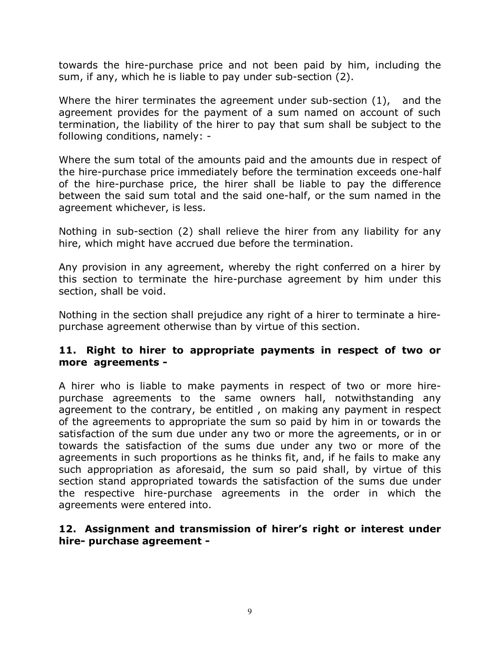towards the hire-purchase price and not been paid by him, including the sum, if any, which he is liable to pay under sub-section (2).

Where the hirer terminates the agreement under sub-section (1), and the agreement provides for the payment of a sum named on account of such termination, the liability of the hirer to pay that sum shall be subject to the following conditions, namely: -

Where the sum total of the amounts paid and the amounts due in respect of the hire-purchase price immediately before the termination exceeds one-half of the hire-purchase price, the hirer shall be liable to pay the difference between the said sum total and the said one-half, or the sum named in the agreement whichever, is less.

Nothing in sub-section (2) shall relieve the hirer from any liability for any hire, which might have accrued due before the termination.

Any provision in any agreement, whereby the right conferred on a hirer by this section to terminate the hire-purchase agreement by him under this section, shall be void.

Nothing in the section shall prejudice any right of a hirer to terminate a hirepurchase agreement otherwise than by virtue of this section.

### 11. Right to hirer to appropriate payments in respect of two or more agreements -

A hirer who is liable to make payments in respect of two or more hirepurchase agreements to the same owners hall, notwithstanding any agreement to the contrary, be entitled , on making any payment in respect of the agreements to appropriate the sum so paid by him in or towards the satisfaction of the sum due under any two or more the agreements, or in or towards the satisfaction of the sums due under any two or more of the agreements in such proportions as he thinks fit, and, if he fails to make any such appropriation as aforesaid, the sum so paid shall, by virtue of this section stand appropriated towards the satisfaction of the sums due under the respective hire-purchase agreements in the order in which the agreements were entered into.

### 12. Assignment and transmission of hirer's right or interest under hire- purchase agreement -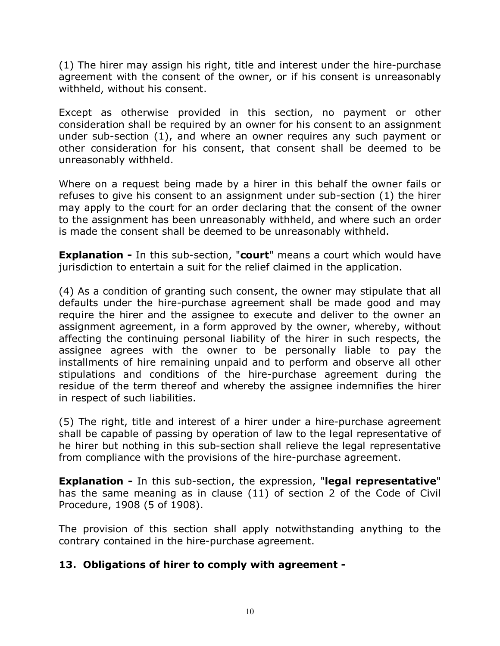(1) The hirer may assign his right, title and interest under the hire-purchase agreement with the consent of the owner, or if his consent is unreasonably withheld, without his consent.

Except as otherwise provided in this section, no payment or other consideration shall be required by an owner for his consent to an assignment under sub-section (1), and where an owner requires any such payment or other consideration for his consent, that consent shall be deemed to be unreasonably withheld.

Where on a request being made by a hirer in this behalf the owner fails or refuses to give his consent to an assignment under sub-section (1) the hirer may apply to the court for an order declaring that the consent of the owner to the assignment has been unreasonably withheld, and where such an order is made the consent shall be deemed to be unreasonably withheld.

**Explanation -** In this sub-section, "court" means a court which would have jurisdiction to entertain a suit for the relief claimed in the application.

(4) As a condition of granting such consent, the owner may stipulate that all defaults under the hire-purchase agreement shall be made good and may require the hirer and the assignee to execute and deliver to the owner an assignment agreement, in a form approved by the owner, whereby, without affecting the continuing personal liability of the hirer in such respects, the assignee agrees with the owner to be personally liable to pay the installments of hire remaining unpaid and to perform and observe all other stipulations and conditions of the hire-purchase agreement during the residue of the term thereof and whereby the assignee indemnifies the hirer in respect of such liabilities.

(5) The right, title and interest of a hirer under a hire-purchase agreement shall be capable of passing by operation of law to the legal representative of he hirer but nothing in this sub-section shall relieve the legal representative from compliance with the provisions of the hire-purchase agreement.

Explanation - In this sub-section, the expression, "legal representative" has the same meaning as in clause (11) of section 2 of the Code of Civil Procedure, 1908 (5 of 1908).

The provision of this section shall apply notwithstanding anything to the contrary contained in the hire-purchase agreement.

# 13. Obligations of hirer to comply with agreement -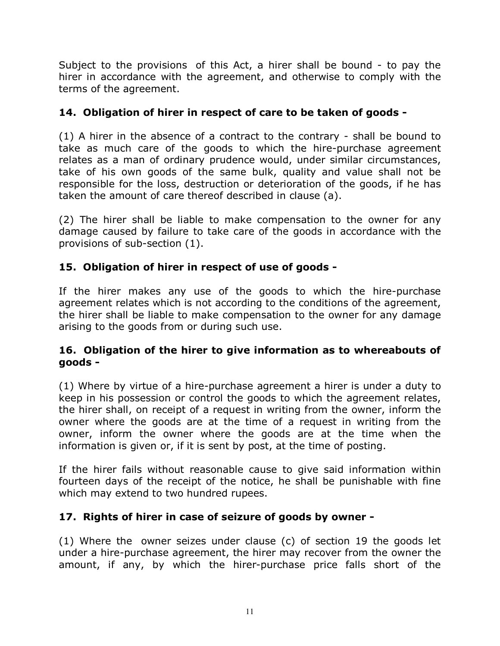Subject to the provisions of this Act, a hirer shall be bound - to pay the hirer in accordance with the agreement, and otherwise to comply with the terms of the agreement.

# 14. Obligation of hirer in respect of care to be taken of goods -

(1) A hirer in the absence of a contract to the contrary - shall be bound to take as much care of the goods to which the hire-purchase agreement relates as a man of ordinary prudence would, under similar circumstances, take of his own goods of the same bulk, quality and value shall not be responsible for the loss, destruction or deterioration of the goods, if he has taken the amount of care thereof described in clause (a).

(2) The hirer shall be liable to make compensation to the owner for any damage caused by failure to take care of the goods in accordance with the provisions of sub-section (1).

# 15. Obligation of hirer in respect of use of goods -

If the hirer makes any use of the goods to which the hire-purchase agreement relates which is not according to the conditions of the agreement, the hirer shall be liable to make compensation to the owner for any damage arising to the goods from or during such use.

# 16. Obligation of the hirer to give information as to whereabouts of goods -

(1) Where by virtue of a hire-purchase agreement a hirer is under a duty to keep in his possession or control the goods to which the agreement relates, the hirer shall, on receipt of a request in writing from the owner, inform the owner where the goods are at the time of a request in writing from the owner, inform the owner where the goods are at the time when the information is given or, if it is sent by post, at the time of posting.

If the hirer fails without reasonable cause to give said information within fourteen days of the receipt of the notice, he shall be punishable with fine which may extend to two hundred rupees.

# 17. Rights of hirer in case of seizure of goods by owner -

(1) Where the owner seizes under clause (c) of section 19 the goods let under a hire-purchase agreement, the hirer may recover from the owner the amount, if any, by which the hirer-purchase price falls short of the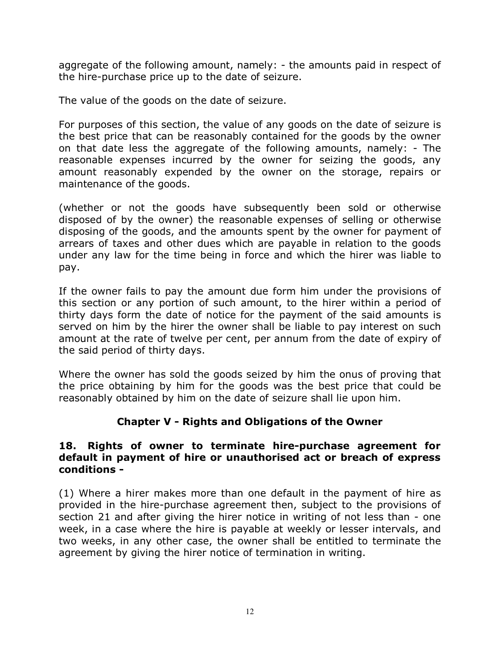aggregate of the following amount, namely: - the amounts paid in respect of the hire-purchase price up to the date of seizure.

The value of the goods on the date of seizure.

For purposes of this section, the value of any goods on the date of seizure is the best price that can be reasonably contained for the goods by the owner on that date less the aggregate of the following amounts, namely: - The reasonable expenses incurred by the owner for seizing the goods, any amount reasonably expended by the owner on the storage, repairs or maintenance of the goods.

(whether or not the goods have subsequently been sold or otherwise disposed of by the owner) the reasonable expenses of selling or otherwise disposing of the goods, and the amounts spent by the owner for payment of arrears of taxes and other dues which are payable in relation to the goods under any law for the time being in force and which the hirer was liable to pay.

If the owner fails to pay the amount due form him under the provisions of this section or any portion of such amount, to the hirer within a period of thirty days form the date of notice for the payment of the said amounts is served on him by the hirer the owner shall be liable to pay interest on such amount at the rate of twelve per cent, per annum from the date of expiry of the said period of thirty days.

Where the owner has sold the goods seized by him the onus of proving that the price obtaining by him for the goods was the best price that could be reasonably obtained by him on the date of seizure shall lie upon him.

# Chapter V - Rights and Obligations of the Owner

#### 18. Rights of owner to terminate hire-purchase agreement for default in payment of hire or unauthorised act or breach of express conditions -

(1) Where a hirer makes more than one default in the payment of hire as provided in the hire-purchase agreement then, subject to the provisions of section 21 and after giving the hirer notice in writing of not less than - one week, in a case where the hire is payable at weekly or lesser intervals, and two weeks, in any other case, the owner shall be entitled to terminate the agreement by giving the hirer notice of termination in writing.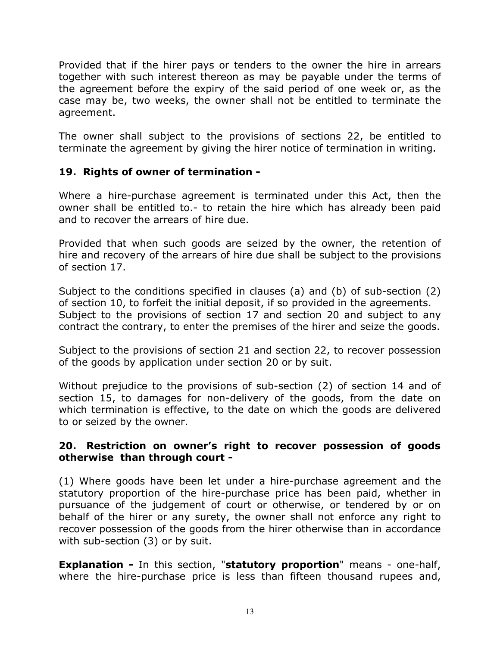Provided that if the hirer pays or tenders to the owner the hire in arrears together with such interest thereon as may be payable under the terms of the agreement before the expiry of the said period of one week or, as the case may be, two weeks, the owner shall not be entitled to terminate the agreement.

The owner shall subject to the provisions of sections 22, be entitled to terminate the agreement by giving the hirer notice of termination in writing.

### 19. Rights of owner of termination -

Where a hire-purchase agreement is terminated under this Act, then the owner shall be entitled to.- to retain the hire which has already been paid and to recover the arrears of hire due.

Provided that when such goods are seized by the owner, the retention of hire and recovery of the arrears of hire due shall be subject to the provisions of section 17.

Subject to the conditions specified in clauses (a) and (b) of sub-section (2) of section 10, to forfeit the initial deposit, if so provided in the agreements. Subject to the provisions of section 17 and section 20 and subject to any contract the contrary, to enter the premises of the hirer and seize the goods.

Subject to the provisions of section 21 and section 22, to recover possession of the goods by application under section 20 or by suit.

Without prejudice to the provisions of sub-section (2) of section 14 and of section 15, to damages for non-delivery of the goods, from the date on which termination is effective, to the date on which the goods are delivered to or seized by the owner.

### 20. Restriction on owner's right to recover possession of goods otherwise than through court -

(1) Where goods have been let under a hire-purchase agreement and the statutory proportion of the hire-purchase price has been paid, whether in pursuance of the judgement of court or otherwise, or tendered by or on behalf of the hirer or any surety, the owner shall not enforce any right to recover possession of the goods from the hirer otherwise than in accordance with sub-section (3) or by suit.

Explanation - In this section, "statutory proportion" means - one-half, where the hire-purchase price is less than fifteen thousand rupees and,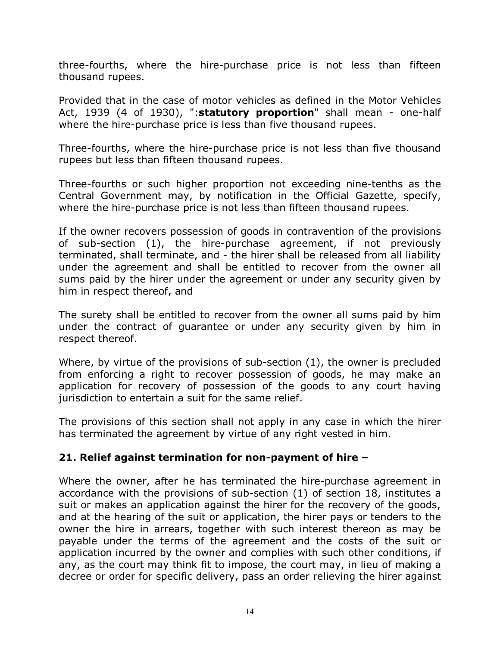three-fourths, where the hire-purchase price is not less than fifteen thousand rupees.

Provided that in the case of motor vehicles as defined in the Motor Vehicles Act, 1939 (4 of 1930), ":statutory proportion" shall mean - one-half where the hire-purchase price is less than five thousand rupees.

Three-fourths, where the hire-purchase price is not less than five thousand rupees but less than fifteen thousand rupees.

Three-fourths or such higher proportion not exceeding nine-tenths as the Central Government may, by notification in the Official Gazette, specify, where the hire-purchase price is not less than fifteen thousand rupees.

If the owner recovers possession of goods in contravention of the provisions of sub-section (1), the hire-purchase agreement, if not previously terminated, shall terminate, and - the hirer shall be released from all liability under the agreement and shall be entitled to recover from the owner all sums paid by the hirer under the agreement or under any security given by him in respect thereof, and

The surety shall be entitled to recover from the owner all sums paid by him under the contract of guarantee or under any security given by him in respect thereof.

Where, by virtue of the provisions of sub-section (1), the owner is precluded from enforcing a right to recover possession of goods, he may make an application for recovery of possession of the goods to any court having jurisdiction to entertain a suit for the same relief.

The provisions of this section shall not apply in any case in which the hirer has terminated the agreement by virtue of any right vested in him.

# 21. Relief against termination for non-payment of hire –

Where the owner, after he has terminated the hire-purchase agreement in accordance with the provisions of sub-section (1) of section 18, institutes a suit or makes an application against the hirer for the recovery of the goods, and at the hearing of the suit or application, the hirer pays or tenders to the owner the hire in arrears, together with such interest thereon as may be payable under the terms of the agreement and the costs of the suit or application incurred by the owner and complies with such other conditions, if any, as the court may think fit to impose, the court may, in lieu of making a decree or order for specific delivery, pass an order relieving the hirer against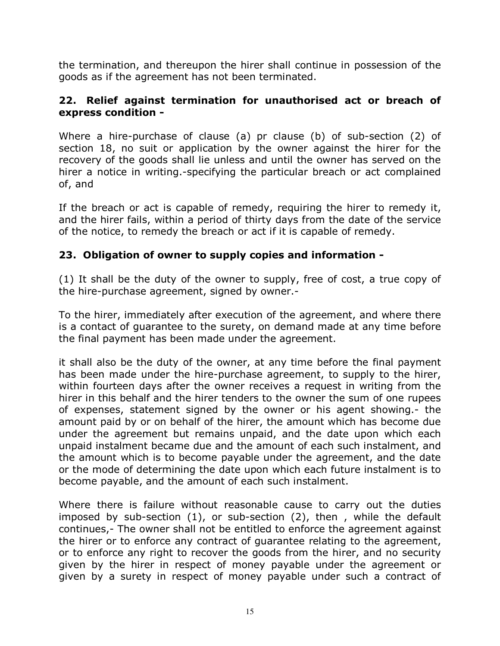the termination, and thereupon the hirer shall continue in possession of the goods as if the agreement has not been terminated.

# 22. Relief against termination for unauthorised act or breach of express condition -

Where a hire-purchase of clause (a) pr clause (b) of sub-section (2) of section 18, no suit or application by the owner against the hirer for the recovery of the goods shall lie unless and until the owner has served on the hirer a notice in writing.-specifying the particular breach or act complained of, and

If the breach or act is capable of remedy, requiring the hirer to remedy it, and the hirer fails, within a period of thirty days from the date of the service of the notice, to remedy the breach or act if it is capable of remedy.

# 23. Obligation of owner to supply copies and information -

(1) It shall be the duty of the owner to supply, free of cost, a true copy of the hire-purchase agreement, signed by owner.-

To the hirer, immediately after execution of the agreement, and where there is a contact of guarantee to the surety, on demand made at any time before the final payment has been made under the agreement.

it shall also be the duty of the owner, at any time before the final payment has been made under the hire-purchase agreement, to supply to the hirer, within fourteen days after the owner receives a request in writing from the hirer in this behalf and the hirer tenders to the owner the sum of one rupees of expenses, statement signed by the owner or his agent showing.- the amount paid by or on behalf of the hirer, the amount which has become due under the agreement but remains unpaid, and the date upon which each unpaid instalment became due and the amount of each such instalment, and the amount which is to become payable under the agreement, and the date or the mode of determining the date upon which each future instalment is to become payable, and the amount of each such instalment.

Where there is failure without reasonable cause to carry out the duties imposed by sub-section (1), or sub-section (2), then , while the default continues,- The owner shall not be entitled to enforce the agreement against the hirer or to enforce any contract of guarantee relating to the agreement, or to enforce any right to recover the goods from the hirer, and no security given by the hirer in respect of money payable under the agreement or given by a surety in respect of money payable under such a contract of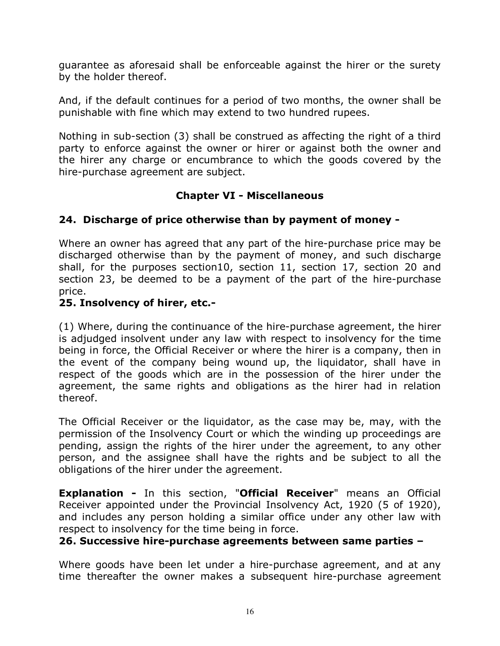guarantee as aforesaid shall be enforceable against the hirer or the surety by the holder thereof.

And, if the default continues for a period of two months, the owner shall be punishable with fine which may extend to two hundred rupees.

Nothing in sub-section (3) shall be construed as affecting the right of a third party to enforce against the owner or hirer or against both the owner and the hirer any charge or encumbrance to which the goods covered by the hire-purchase agreement are subject.

# Chapter VI - Miscellaneous

# 24. Discharge of price otherwise than by payment of money -

Where an owner has agreed that any part of the hire-purchase price may be discharged otherwise than by the payment of money, and such discharge shall, for the purposes section10, section 11, section 17, section 20 and section 23, be deemed to be a payment of the part of the hire-purchase price.

### 25. Insolvency of hirer, etc.-

(1) Where, during the continuance of the hire-purchase agreement, the hirer is adjudged insolvent under any law with respect to insolvency for the time being in force, the Official Receiver or where the hirer is a company, then in the event of the company being wound up, the liquidator, shall have in respect of the goods which are in the possession of the hirer under the agreement, the same rights and obligations as the hirer had in relation thereof.

The Official Receiver or the liquidator, as the case may be, may, with the permission of the Insolvency Court or which the winding up proceedings are pending, assign the rights of the hirer under the agreement, to any other person, and the assignee shall have the rights and be subject to all the obligations of the hirer under the agreement.

Explanation - In this section, "Official Receiver" means an Official Receiver appointed under the Provincial Insolvency Act, 1920 (5 of 1920), and includes any person holding a similar office under any other law with respect to insolvency for the time being in force.

#### 26. Successive hire-purchase agreements between same parties –

Where goods have been let under a hire-purchase agreement, and at any time thereafter the owner makes a subsequent hire-purchase agreement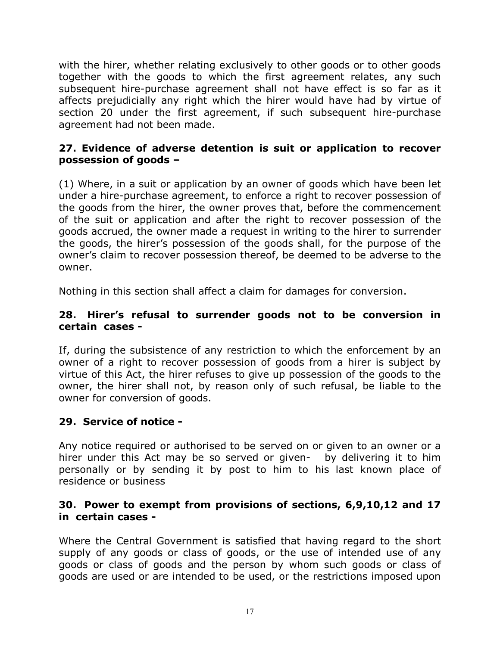with the hirer, whether relating exclusively to other goods or to other goods together with the goods to which the first agreement relates, any such subsequent hire-purchase agreement shall not have effect is so far as it affects prejudicially any right which the hirer would have had by virtue of section 20 under the first agreement, if such subsequent hire-purchase agreement had not been made.

# 27. Evidence of adverse detention is suit or application to recover possession of goods –

(1) Where, in a suit or application by an owner of goods which have been let under a hire-purchase agreement, to enforce a right to recover possession of the goods from the hirer, the owner proves that, before the commencement of the suit or application and after the right to recover possession of the goods accrued, the owner made a request in writing to the hirer to surrender the goods, the hirer's possession of the goods shall, for the purpose of the owner's claim to recover possession thereof, be deemed to be adverse to the owner.

Nothing in this section shall affect a claim for damages for conversion.

### 28. Hirer's refusal to surrender goods not to be conversion in certain cases -

If, during the subsistence of any restriction to which the enforcement by an owner of a right to recover possession of goods from a hirer is subject by virtue of this Act, the hirer refuses to give up possession of the goods to the owner, the hirer shall not, by reason only of such refusal, be liable to the owner for conversion of goods.

# 29. Service of notice -

Any notice required or authorised to be served on or given to an owner or a hirer under this Act may be so served or given- by delivering it to him personally or by sending it by post to him to his last known place of residence or business

# 30. Power to exempt from provisions of sections, 6,9,10,12 and 17 in certain cases -

Where the Central Government is satisfied that having regard to the short supply of any goods or class of goods, or the use of intended use of any goods or class of goods and the person by whom such goods or class of goods are used or are intended to be used, or the restrictions imposed upon